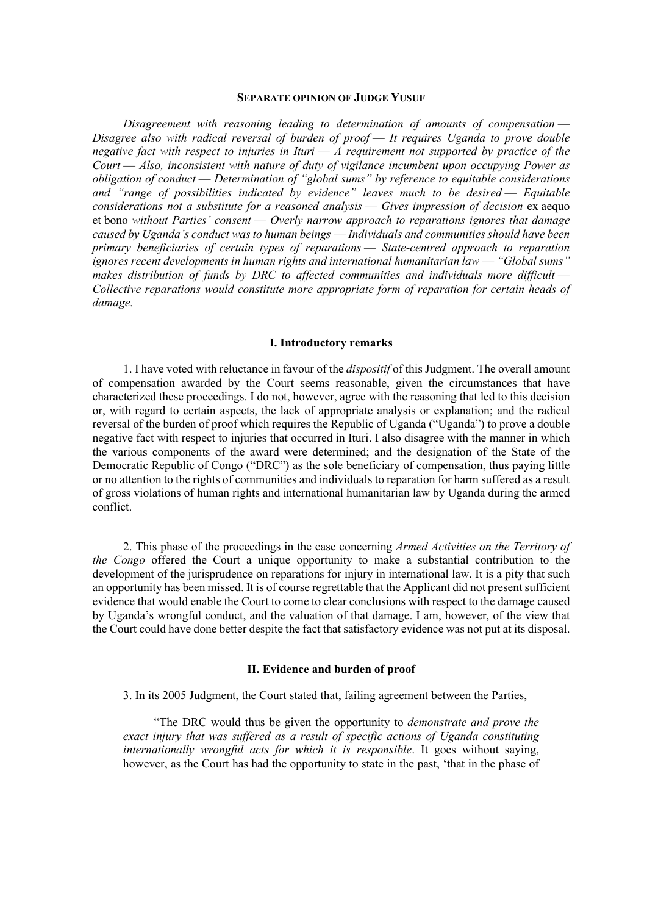#### **SEPARATE OPINION OF JUDGE YUSUF**

*Disagreement with reasoning leading to determination of amounts of compensation* — *Disagree also with radical reversal of burden of proof* — *It requires Uganda to prove double negative fact with respect to injuries in Ituri* — *A requirement not supported by practice of the Court* — *Also, inconsistent with nature of duty of vigilance incumbent upon occupying Power as obligation of conduct* — *Determination of "global sums" by reference to equitable considerations and "range of possibilities indicated by evidence" leaves much to be desired* — *Equitable considerations not a substitute for a reasoned analysis* — *Gives impression of decision* ex aequo et bono *without Parties' consent* — *Overly narrow approach to reparations ignores that damage caused by Uganda's conduct was to human beings* — *Individuals and communities should have been primary beneficiaries of certain types of reparations* — *State-centred approach to reparation ignores recent developments in human rights and international humanitarian law* — *"Global sums"*  makes distribution of funds by DRC to affected communities and individuals more difficult -*Collective reparations would constitute more appropriate form of reparation for certain heads of damage.*

### **I. Introductory remarks**

1. I have voted with reluctance in favour of the *dispositif* of this Judgment. The overall amount of compensation awarded by the Court seems reasonable, given the circumstances that have characterized these proceedings. I do not, however, agree with the reasoning that led to this decision or, with regard to certain aspects, the lack of appropriate analysis or explanation; and the radical reversal of the burden of proof which requires the Republic of Uganda ("Uganda") to prove a double negative fact with respect to injuries that occurred in Ituri. I also disagree with the manner in which the various components of the award were determined; and the designation of the State of the Democratic Republic of Congo ("DRC") as the sole beneficiary of compensation, thus paying little or no attention to the rights of communities and individuals to reparation for harm suffered as a result of gross violations of human rights and international humanitarian law by Uganda during the armed conflict.

2. This phase of the proceedings in the case concerning *Armed Activities on the Territory of the Congo* offered the Court a unique opportunity to make a substantial contribution to the development of the jurisprudence on reparations for injury in international law. It is a pity that such an opportunity has been missed. It is of course regrettable that the Applicant did not present sufficient evidence that would enable the Court to come to clear conclusions with respect to the damage caused by Uganda's wrongful conduct, and the valuation of that damage. I am, however, of the view that the Court could have done better despite the fact that satisfactory evidence was not put at its disposal.

#### **II. Evidence and burden of proof**

3. In its 2005 Judgment, the Court stated that, failing agreement between the Parties,

"The DRC would thus be given the opportunity to *demonstrate and prove the exact injury that was suffered as a result of specific actions of Uganda constituting internationally wrongful acts for which it is responsible.* It goes without saying, however, as the Court has had the opportunity to state in the past, 'that in the phase of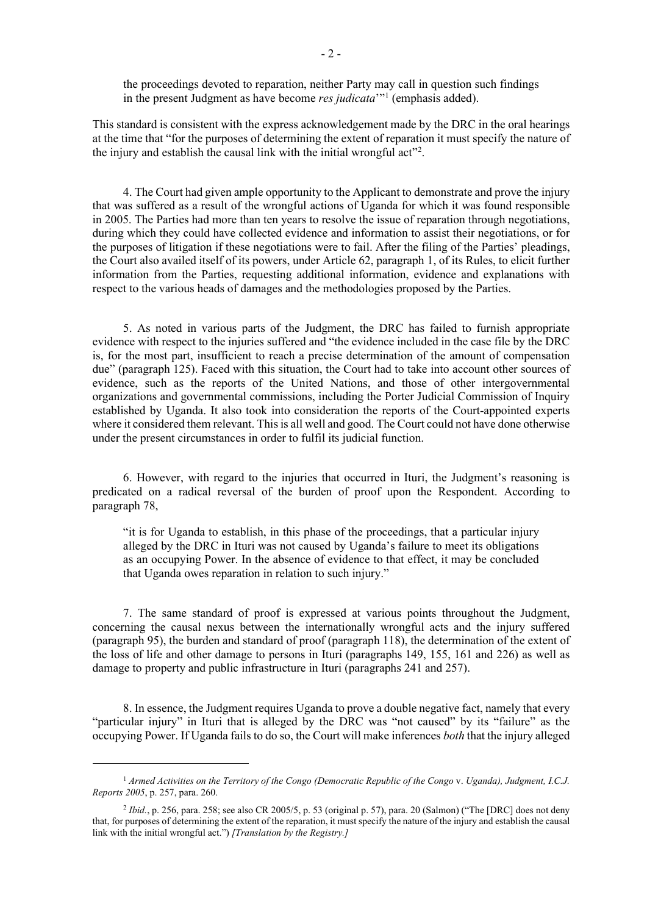the proceedings devoted to reparation, neither Party may call in question such findings in the present Judgment as have become *res judicata*'"[1](#page-1-0) (emphasis added).

This standard is consistent with the express acknowledgement made by the DRC in the oral hearings at the time that "for the purposes of determining the extent of reparation it must specify the nature of the injury and establish the causal link with the initial wrongful act"<sup>[2](#page-1-1)</sup>.

4. The Court had given ample opportunity to the Applicant to demonstrate and prove the injury that was suffered as a result of the wrongful actions of Uganda for which it was found responsible in 2005. The Parties had more than ten years to resolve the issue of reparation through negotiations, during which they could have collected evidence and information to assist their negotiations, or for the purposes of litigation if these negotiations were to fail. After the filing of the Parties' pleadings, the Court also availed itself of its powers, under Article 62, paragraph 1, of its Rules, to elicit further information from the Parties, requesting additional information, evidence and explanations with respect to the various heads of damages and the methodologies proposed by the Parties.

5. As noted in various parts of the Judgment, the DRC has failed to furnish appropriate evidence with respect to the injuries suffered and "the evidence included in the case file by the DRC is, for the most part, insufficient to reach a precise determination of the amount of compensation due" (paragraph 125). Faced with this situation, the Court had to take into account other sources of evidence, such as the reports of the United Nations, and those of other intergovernmental organizations and governmental commissions, including the Porter Judicial Commission of Inquiry established by Uganda. It also took into consideration the reports of the Court-appointed experts where it considered them relevant. This is all well and good. The Court could not have done otherwise under the present circumstances in order to fulfil its judicial function.

6. However, with regard to the injuries that occurred in Ituri, the Judgment's reasoning is predicated on a radical reversal of the burden of proof upon the Respondent. According to paragraph 78,

"it is for Uganda to establish, in this phase of the proceedings, that a particular injury alleged by the DRC in Ituri was not caused by Uganda's failure to meet its obligations as an occupying Power. In the absence of evidence to that effect, it may be concluded that Uganda owes reparation in relation to such injury."

7. The same standard of proof is expressed at various points throughout the Judgment, concerning the causal nexus between the internationally wrongful acts and the injury suffered (paragraph 95), the burden and standard of proof (paragraph 118), the determination of the extent of the loss of life and other damage to persons in Ituri (paragraphs 149, 155, 161 and 226) as well as damage to property and public infrastructure in Ituri (paragraphs 241 and 257).

8. In essence, the Judgment requires Uganda to prove a double negative fact, namely that every "particular injury" in Ituri that is alleged by the DRC was "not caused" by its "failure" as the occupying Power. If Uganda fails to do so, the Court will make inferences *both* that the injury alleged

<span id="page-1-0"></span><sup>1</sup> *Armed Activities on the Territory of the Congo (Democratic Republic of the Congo* v. *Uganda), Judgment, I.C.J. Reports 2005*, p. 257, para. 260.

<span id="page-1-1"></span><sup>&</sup>lt;sup>2</sup> *Ibid.*, p. 256, para. 258; see also CR 2005/5, p. 53 (original p. 57), para. 20 (Salmon) ("The [DRC] does not deny that, for purposes of determining the extent of the reparation, it must specify the nature of the injury and establish the causal link with the initial wrongful act.") *[Translation by the Registry.]*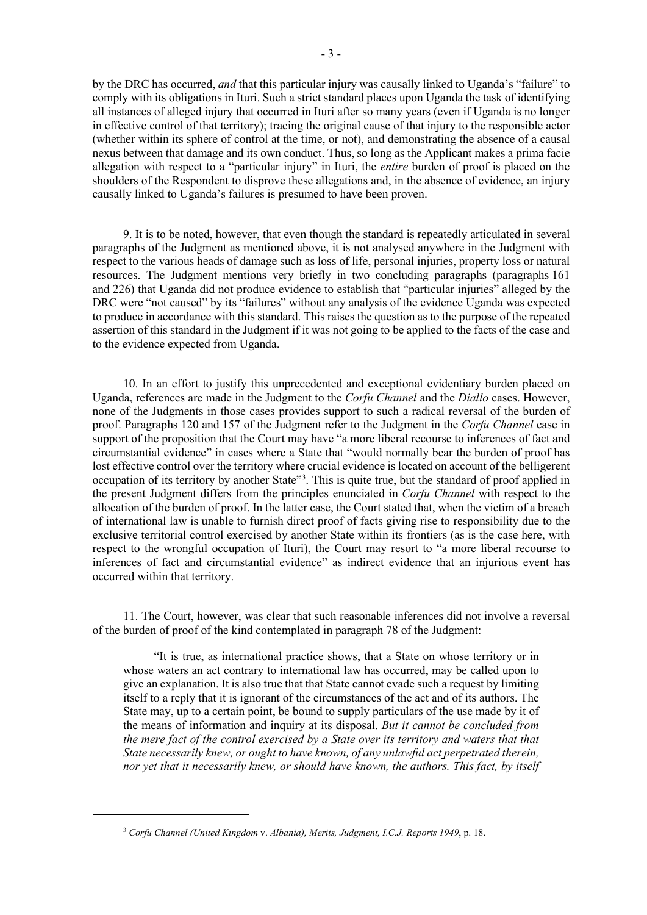by the DRC has occurred, *and* that this particular injury was causally linked to Uganda's "failure" to comply with its obligations in Ituri. Such a strict standard places upon Uganda the task of identifying all instances of alleged injury that occurred in Ituri after so many years (even if Uganda is no longer in effective control of that territory); tracing the original cause of that injury to the responsible actor (whether within its sphere of control at the time, or not), and demonstrating the absence of a causal nexus between that damage and its own conduct. Thus, so long as the Applicant makes a prima facie allegation with respect to a "particular injury" in Ituri, the *entire* burden of proof is placed on the shoulders of the Respondent to disprove these allegations and, in the absence of evidence, an injury causally linked to Uganda's failures is presumed to have been proven.

9. It is to be noted, however, that even though the standard is repeatedly articulated in several paragraphs of the Judgment as mentioned above, it is not analysed anywhere in the Judgment with respect to the various heads of damage such as loss of life, personal injuries, property loss or natural resources. The Judgment mentions very briefly in two concluding paragraphs (paragraphs 161 and 226) that Uganda did not produce evidence to establish that "particular injuries" alleged by the DRC were "not caused" by its "failures" without any analysis of the evidence Uganda was expected to produce in accordance with this standard. This raises the question as to the purpose of the repeated assertion of this standard in the Judgment if it was not going to be applied to the facts of the case and to the evidence expected from Uganda.

10. In an effort to justify this unprecedented and exceptional evidentiary burden placed on Uganda, references are made in the Judgment to the *Corfu Channel* and the *Diallo* cases. However, none of the Judgments in those cases provides support to such a radical reversal of the burden of proof. Paragraphs 120 and 157 of the Judgment refer to the Judgment in the *Corfu Channel* case in support of the proposition that the Court may have "a more liberal recourse to inferences of fact and circumstantial evidence" in cases where a State that "would normally bear the burden of proof has lost effective control over the territory where crucial evidence is located on account of the belligerent occupation of its territory by another State"<sup>[3](#page-2-0)</sup>. This is quite true, but the standard of proof applied in the present Judgment differs from the principles enunciated in *Corfu Channel* with respect to the allocation of the burden of proof. In the latter case, the Court stated that, when the victim of a breach of international law is unable to furnish direct proof of facts giving rise to responsibility due to the exclusive territorial control exercised by another State within its frontiers (as is the case here, with respect to the wrongful occupation of Ituri), the Court may resort to "a more liberal recourse to inferences of fact and circumstantial evidence" as indirect evidence that an injurious event has occurred within that territory.

11. The Court, however, was clear that such reasonable inferences did not involve a reversal of the burden of proof of the kind contemplated in paragraph 78 of the Judgment:

"It is true, as international practice shows, that a State on whose territory or in whose waters an act contrary to international law has occurred, may be called upon to give an explanation. It is also true that that State cannot evade such a request by limiting itself to a reply that it is ignorant of the circumstances of the act and of its authors. The State may, up to a certain point, be bound to supply particulars of the use made by it of the means of information and inquiry at its disposal. *But it cannot be concluded from the mere fact of the control exercised by a State over its territory and waters that that State necessarily knew, or ought to have known, of any unlawful act perpetrated therein, nor yet that it necessarily knew, or should have known, the authors. This fact, by itself* 

<span id="page-2-0"></span><sup>3</sup> *Corfu Channel (United Kingdom* v. *Albania), Merits, Judgment, I.C.J. Reports 1949*, p. 18.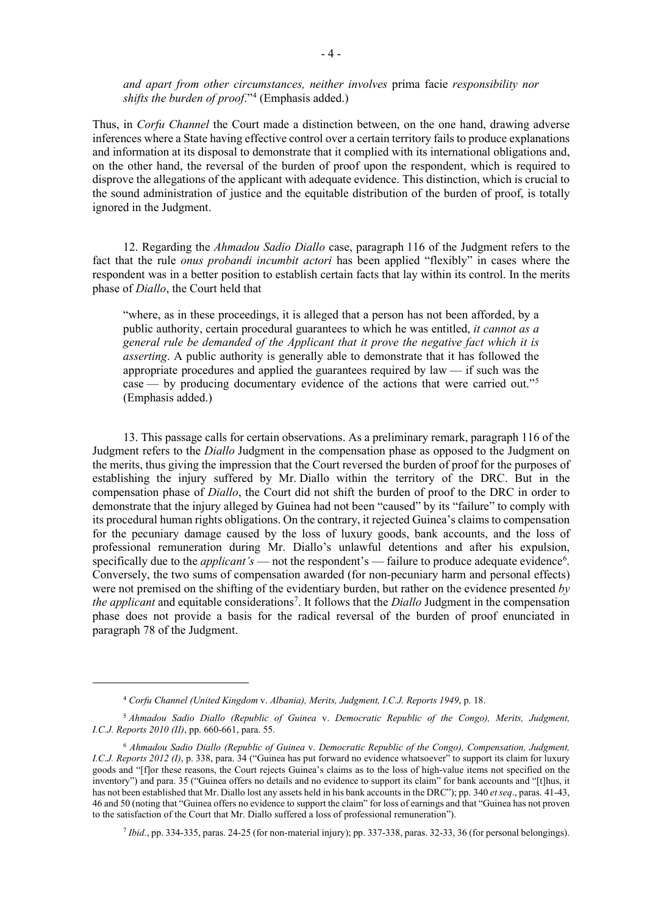*and apart from other circumstances, neither involves* prima facie *responsibility nor shifts the burden of proof*."[4](#page-3-0) (Emphasis added.)

Thus, in *Corfu Channel* the Court made a distinction between, on the one hand, drawing adverse inferences where a State having effective control over a certain territory fails to produce explanations and information at its disposal to demonstrate that it complied with its international obligations and, on the other hand, the reversal of the burden of proof upon the respondent, which is required to disprove the allegations of the applicant with adequate evidence. This distinction, which is crucial to the sound administration of justice and the equitable distribution of the burden of proof, is totally ignored in the Judgment.

12. Regarding the *Ahmadou Sadio Diallo* case, paragraph 116 of the Judgment refers to the fact that the rule *onus probandi incumbit actori* has been applied "flexibly" in cases where the respondent was in a better position to establish certain facts that lay within its control. In the merits phase of *Diallo*, the Court held that

"where, as in these proceedings, it is alleged that a person has not been afforded, by a public authority, certain procedural guarantees to which he was entitled, *it cannot as a general rule be demanded of the Applicant that it prove the negative fact which it is asserting*. A public authority is generally able to demonstrate that it has followed the appropriate procedures and applied the guarantees required by law — if such was the case — by producing documentary evidence of the actions that were carried out."[5](#page-3-1) (Emphasis added.)

13. This passage calls for certain observations. As a preliminary remark, paragraph 116 of the Judgment refers to the *Diallo* Judgment in the compensation phase as opposed to the Judgment on the merits, thus giving the impression that the Court reversed the burden of proof for the purposes of establishing the injury suffered by Mr. Diallo within the territory of the DRC. But in the compensation phase of *Diallo*, the Court did not shift the burden of proof to the DRC in order to demonstrate that the injury alleged by Guinea had not been "caused" by its "failure" to comply with its procedural human rights obligations. On the contrary, it rejected Guinea's claims to compensation for the pecuniary damage caused by the loss of luxury goods, bank accounts, and the loss of professional remuneration during Mr. Diallo's unlawful detentions and after his expulsion, specifically due to the *applicant's* — not the respondent's — failure to produce adequate evidence<sup>[6](#page-3-2)</sup>. Conversely, the two sums of compensation awarded (for non-pecuniary harm and personal effects) were not premised on the shifting of the evidentiary burden, but rather on the evidence presented *by the applicant* and equitable considerations<sup>[7](#page-3-3)</sup>. It follows that the *Diallo* Judgment in the compensation phase does not provide a basis for the radical reversal of the burden of proof enunciated in paragraph 78 of the Judgment.

<span id="page-3-3"></span><sup>7</sup> *Ibid.*, pp. 334-335, paras. 24-25 (for non-material injury); pp. 337-338, paras. 32-33, 36 (for personal belongings).

<sup>4</sup> *Corfu Channel (United Kingdom* v. *Albania), Merits, Judgment, I.C.J. Reports 1949*, p. 18.

<span id="page-3-1"></span><span id="page-3-0"></span><sup>5</sup> *Ahmadou Sadio Diallo (Republic of Guinea* v. *Democratic Republic of the Congo), Merits, Judgment, I.C.J. Reports 2010 (II)*, pp. 660-661, para. 55.

<span id="page-3-2"></span><sup>6</sup> *Ahmadou Sadio Diallo (Republic of Guinea* v. *Democratic Republic of the Congo), Compensation, Judgment, I.C.J. Reports 2012 (I)*, p. 338, para. 34 ("Guinea has put forward no evidence whatsoever" to support its claim for luxury goods and "[f]or these reasons, the Court rejects Guinea's claims as to the loss of high-value items not specified on the inventory") and para. 35 ("Guinea offers no details and no evidence to support its claim" for bank accounts and "[t]hus, it has not been established that Mr. Diallo lost any assets held in his bank accounts in the DRC"); pp. 340 *et seq*., paras. 41-43, 46 and 50 (noting that "Guinea offers no evidence to support the claim" for loss of earnings and that "Guinea has not proven to the satisfaction of the Court that Mr. Diallo suffered a loss of professional remuneration").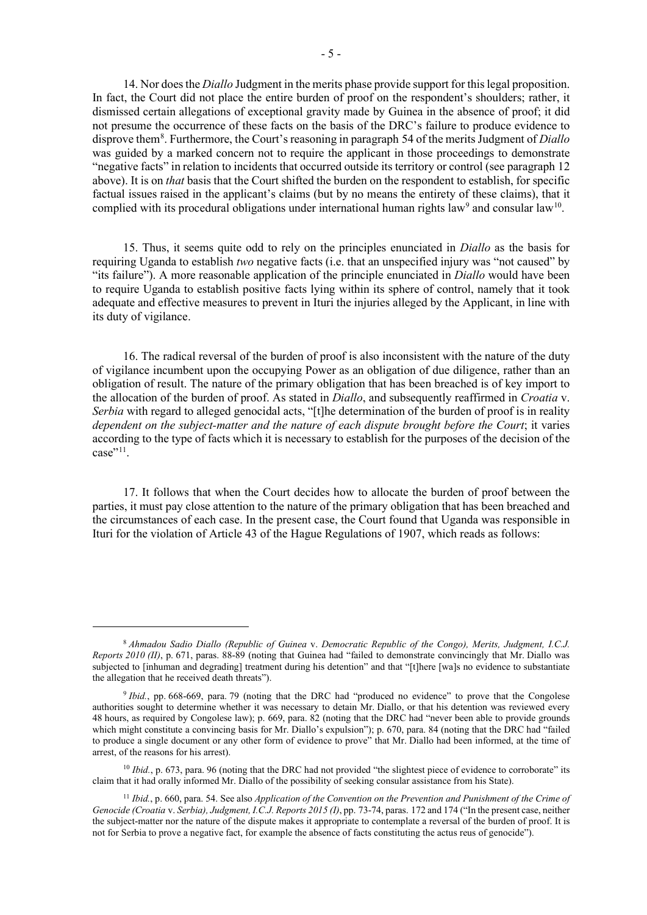14. Nor does the *Diallo* Judgment in the merits phase provide support for this legal proposition. In fact, the Court did not place the entire burden of proof on the respondent's shoulders; rather, it dismissed certain allegations of exceptional gravity made by Guinea in the absence of proof; it did not presume the occurrence of these facts on the basis of the DRC's failure to produce evidence to disprove them[8](#page-4-0) . Furthermore, the Court's reasoning in paragraph 54 of the merits Judgment of *Diallo* was guided by a marked concern not to require the applicant in those proceedings to demonstrate "negative facts" in relation to incidents that occurred outside its territory or control (see paragraph 12 above). It is on *that* basis that the Court shifted the burden on the respondent to establish, for specific factual issues raised in the applicant's claims (but by no means the entirety of these claims), that it complied with its procedural obligations under international human rights law<sup>[9](#page-4-1)</sup> and consular law<sup>10</sup>.

15. Thus, it seems quite odd to rely on the principles enunciated in *Diallo* as the basis for requiring Uganda to establish *two* negative facts (i.e. that an unspecified injury was "not caused" by "its failure"). A more reasonable application of the principle enunciated in *Diallo* would have been to require Uganda to establish positive facts lying within its sphere of control, namely that it took adequate and effective measures to prevent in Ituri the injuries alleged by the Applicant, in line with its duty of vigilance.

16. The radical reversal of the burden of proof is also inconsistent with the nature of the duty of vigilance incumbent upon the occupying Power as an obligation of due diligence, rather than an obligation of result. The nature of the primary obligation that has been breached is of key import to the allocation of the burden of proof. As stated in *Diallo*, and subsequently reaffirmed in *Croatia* v. *Serbia* with regard to alleged genocidal acts, "[t]he determination of the burden of proof is in reality *dependent on the subject-matter and the nature of each dispute brought before the Court*; it varies according to the type of facts which it is necessary to establish for the purposes of the decision of the case"<sup>[11](#page-4-3)</sup>.

17. It follows that when the Court decides how to allocate the burden of proof between the parties, it must pay close attention to the nature of the primary obligation that has been breached and the circumstances of each case. In the present case, the Court found that Uganda was responsible in Ituri for the violation of Article 43 of the Hague Regulations of 1907, which reads as follows:

<span id="page-4-0"></span><sup>8</sup> *Ahmadou Sadio Diallo (Republic of Guinea* v. *Democratic Republic of the Congo), Merits, Judgment, I.C.J. Reports 2010 (II)*, p. 671, paras. 88-89 (noting that Guinea had "failed to demonstrate convincingly that Mr. Diallo was subjected to [inhuman and degrading] treatment during his detention" and that "[t]here [wa]s no evidence to substantiate the allegation that he received death threats").

<span id="page-4-1"></span><sup>&</sup>lt;sup>9</sup> *Ibid.*, pp. 668-669, para. 79 (noting that the DRC had "produced no evidence" to prove that the Congolese authorities sought to determine whether it was necessary to detain Mr. Diallo, or that his detention was reviewed every 48 hours, as required by Congolese law); p. 669, para. 82 (noting that the DRC had "never been able to provide grounds which might constitute a convincing basis for Mr. Diallo's expulsion"); p. 670, para. 84 (noting that the DRC had "failed to produce a single document or any other form of evidence to prove" that Mr. Diallo had been informed, at the time of arrest, of the reasons for his arrest).

<span id="page-4-2"></span><sup>&</sup>lt;sup>10</sup> *Ibid.*, p. 673, para. 96 (noting that the DRC had not provided "the slightest piece of evidence to corroborate" its claim that it had orally informed Mr. Diallo of the possibility of seeking consular assistance from his State).

<span id="page-4-3"></span><sup>11</sup> *Ibid.*, p. 660, para. 54. See also *Application of the Convention on the Prevention and Punishment of the Crime of Genocide (Croatia* v. *Serbia), Judgment, I.C.J. Reports 2015 (I)*, pp. 73-74, paras. 172 and 174 ("In the present case, neither the subject-matter nor the nature of the dispute makes it appropriate to contemplate a reversal of the burden of proof. It is not for Serbia to prove a negative fact, for example the absence of facts constituting the actus reus of genocide").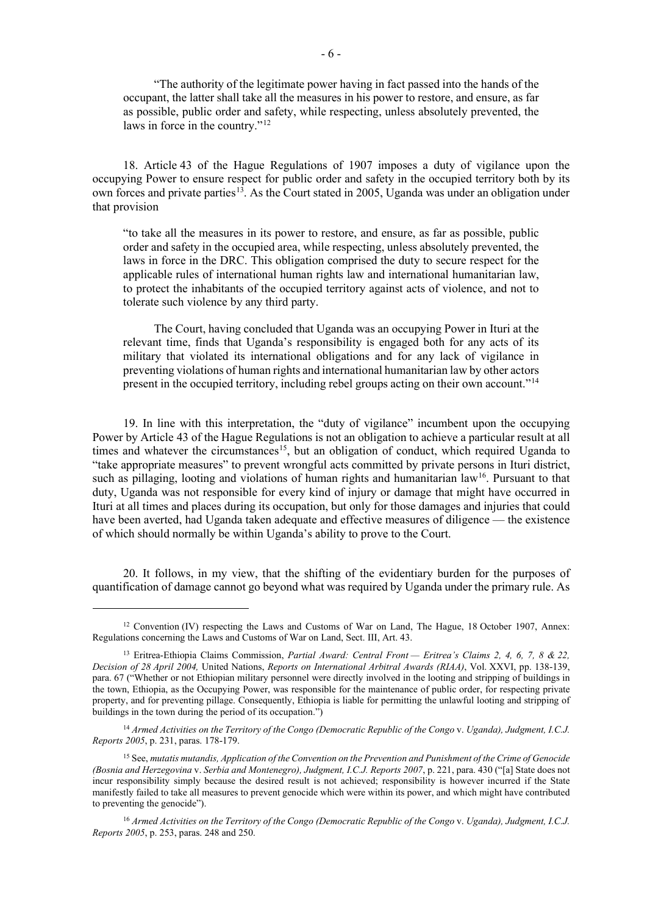"The authority of the legitimate power having in fact passed into the hands of the occupant, the latter shall take all the measures in his power to restore, and ensure, as far as possible, public order and safety, while respecting, unless absolutely prevented, the laws in force in the country."<sup>[12](#page-5-0)</sup>

18. Article 43 of the Hague Regulations of 1907 imposes a duty of vigilance upon the occupying Power to ensure respect for public order and safety in the occupied territory both by its own forces and private parties<sup>13</sup>. As the Court stated in 2005, Uganda was under an obligation under that provision

"to take all the measures in its power to restore, and ensure, as far as possible, public order and safety in the occupied area, while respecting, unless absolutely prevented, the laws in force in the DRC. This obligation comprised the duty to secure respect for the applicable rules of international human rights law and international humanitarian law, to protect the inhabitants of the occupied territory against acts of violence, and not to tolerate such violence by any third party.

The Court, having concluded that Uganda was an occupying Power in Ituri at the relevant time, finds that Uganda's responsibility is engaged both for any acts of its military that violated its international obligations and for any lack of vigilance in preventing violations of human rights and international humanitarian law by other actors present in the occupied territory, including rebel groups acting on their own account."[14](#page-5-2)

19. In line with this interpretation, the "duty of vigilance" incumbent upon the occupying Power by Article 43 of the Hague Regulations is not an obligation to achieve a particular result at all times and whatever the circumstances<sup>[15](#page-5-3)</sup>, but an obligation of conduct, which required Uganda to "take appropriate measures" to prevent wrongful acts committed by private persons in Ituri district, such as pillaging, looting and violations of human rights and humanitarian law<sup>[16](#page-5-4)</sup>. Pursuant to that duty, Uganda was not responsible for every kind of injury or damage that might have occurred in Ituri at all times and places during its occupation, but only for those damages and injuries that could have been averted, had Uganda taken adequate and effective measures of diligence — the existence of which should normally be within Uganda's ability to prove to the Court.

20. It follows, in my view, that the shifting of the evidentiary burden for the purposes of quantification of damage cannot go beyond what was required by Uganda under the primary rule. As

<span id="page-5-0"></span><sup>&</sup>lt;sup>12</sup> Convention (IV) respecting the Laws and Customs of War on Land, The Hague, 18 October 1907, Annex: Regulations concerning the Laws and Customs of War on Land, Sect. III, Art. 43.

<span id="page-5-1"></span><sup>13</sup> Eritrea-Ethiopia Claims Commission, *Partial Award: Central Front — Eritrea's Claims 2, 4, 6, 7, 8 & 22, Decision of 28 April 2004,* United Nations, *Reports on International Arbitral Awards (RIAA)*, Vol. XXVI, pp. 138-139, para. 67 ("Whether or not Ethiopian military personnel were directly involved in the looting and stripping of buildings in the town, Ethiopia, as the Occupying Power, was responsible for the maintenance of public order, for respecting private property, and for preventing pillage. Consequently, Ethiopia is liable for permitting the unlawful looting and stripping of buildings in the town during the period of its occupation.")

<span id="page-5-2"></span><sup>14</sup> *Armed Activities on the Territory of the Congo (Democratic Republic of the Congo* v. *Uganda), Judgment, I.C.J. Reports 2005*, p. 231, paras. 178-179.

<span id="page-5-3"></span><sup>15</sup> See, *mutatis mutandis, Application of the Convention on the Prevention and Punishment of the Crime of Genocide (Bosnia and Herzegovina* v. *Serbia and Montenegro), Judgment, I.C.J. Reports 2007*, p. 221, para. 430 ("[a] State does not incur responsibility simply because the desired result is not achieved; responsibility is however incurred if the State manifestly failed to take all measures to prevent genocide which were within its power, and which might have contributed to preventing the genocide").

<span id="page-5-4"></span><sup>16</sup> *Armed Activities on the Territory of the Congo (Democratic Republic of the Congo* v. *Uganda), Judgment, I.C.J. Reports 2005*, p. 253, paras. 248 and 250.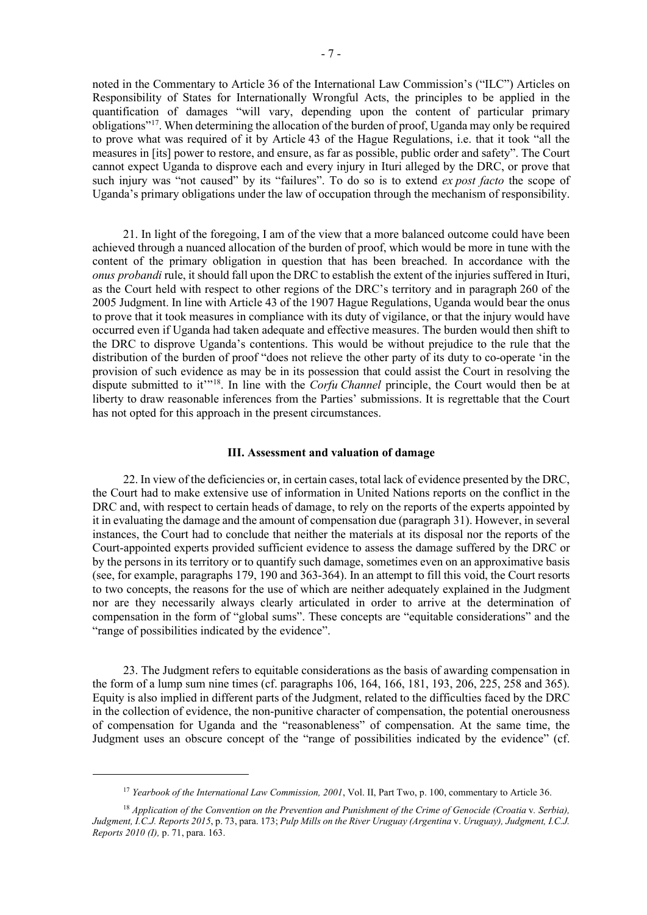noted in the Commentary to Article 36 of the International Law Commission's ("ILC") Articles on Responsibility of States for Internationally Wrongful Acts, the principles to be applied in the quantification of damages "will vary, depending upon the content of particular primary obligations"[17](#page-6-0). When determining the allocation of the burden of proof, Uganda may only be required to prove what was required of it by Article 43 of the Hague Regulations, i.e. that it took "all the measures in [its] power to restore, and ensure, as far as possible, public order and safety". The Court cannot expect Uganda to disprove each and every injury in Ituri alleged by the DRC, or prove that such injury was "not caused" by its "failures". To do so is to extend *ex post facto* the scope of Uganda's primary obligations under the law of occupation through the mechanism of responsibility.

21. In light of the foregoing, I am of the view that a more balanced outcome could have been achieved through a nuanced allocation of the burden of proof, which would be more in tune with the content of the primary obligation in question that has been breached. In accordance with the *onus probandi* rule, it should fall upon the DRC to establish the extent of the injuries suffered in Ituri, as the Court held with respect to other regions of the DRC's territory and in paragraph 260 of the 2005 Judgment. In line with Article 43 of the 1907 Hague Regulations, Uganda would bear the onus to prove that it took measures in compliance with its duty of vigilance, or that the injury would have occurred even if Uganda had taken adequate and effective measures. The burden would then shift to the DRC to disprove Uganda's contentions. This would be without prejudice to the rule that the distribution of the burden of proof "does not relieve the other party of its duty to co-operate 'in the provision of such evidence as may be in its possession that could assist the Court in resolving the dispute submitted to it<sup>\*\*[18](#page-6-1)</sup>. In line with the *Corfu Channel* principle, the Court would then be at liberty to draw reasonable inferences from the Parties' submissions. It is regrettable that the Court has not opted for this approach in the present circumstances.

## **III. Assessment and valuation of damage**

22. In view of the deficiencies or, in certain cases, total lack of evidence presented by the DRC, the Court had to make extensive use of information in United Nations reports on the conflict in the DRC and, with respect to certain heads of damage, to rely on the reports of the experts appointed by it in evaluating the damage and the amount of compensation due (paragraph 31). However, in several instances, the Court had to conclude that neither the materials at its disposal nor the reports of the Court-appointed experts provided sufficient evidence to assess the damage suffered by the DRC or by the persons in its territory or to quantify such damage, sometimes even on an approximative basis (see, for example, paragraphs 179, 190 and 363-364). In an attempt to fill this void, the Court resorts to two concepts, the reasons for the use of which are neither adequately explained in the Judgment nor are they necessarily always clearly articulated in order to arrive at the determination of compensation in the form of "global sums". These concepts are "equitable considerations" and the "range of possibilities indicated by the evidence".

23. The Judgment refers to equitable considerations as the basis of awarding compensation in the form of a lump sum nine times (cf. paragraphs 106, 164, 166, 181, 193, 206, 225, 258 and 365). Equity is also implied in different parts of the Judgment, related to the difficulties faced by the DRC in the collection of evidence, the non-punitive character of compensation, the potential onerousness of compensation for Uganda and the "reasonableness" of compensation. At the same time, the Judgment uses an obscure concept of the "range of possibilities indicated by the evidence" (cf.

<sup>17</sup> *Yearbook of the International Law Commission, 2001*, Vol. II, Part Two, p. 100, commentary to Article 36.

<span id="page-6-1"></span><span id="page-6-0"></span><sup>18</sup> *Application of the Convention on the Prevention and Punishment of the Crime of Genocide (Croatia* v*. Serbia), Judgment, I.C.J. Reports 2015*, p. 73, para. 173; *Pulp Mills on the River Uruguay (Argentina* v. *Uruguay), Judgment, I.C.J. Reports 2010 (I),* p. 71, para. 163.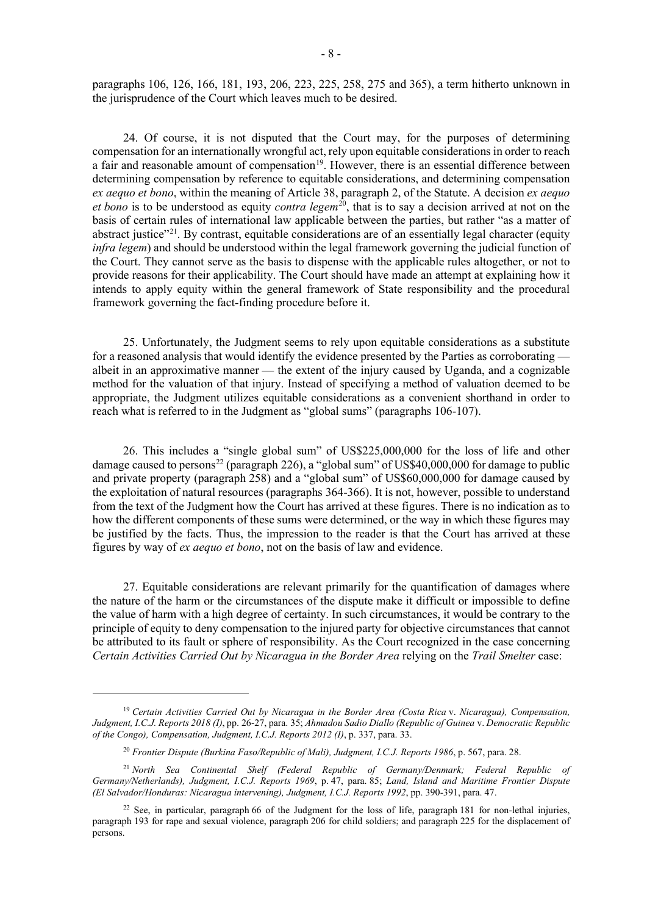paragraphs 106, 126, 166, 181, 193, 206, 223, 225, 258, 275 and 365), a term hitherto unknown in the jurisprudence of the Court which leaves much to be desired.

24. Of course, it is not disputed that the Court may, for the purposes of determining compensation for an internationally wrongful act, rely upon equitable considerations in order to reach a fair and reasonable amount of compensation<sup>19</sup>. However, there is an essential difference between determining compensation by reference to equitable considerations, and determining compensation *ex aequo et bono*, within the meaning of Article 38, paragraph 2, of the Statute. A decision *ex aequo et bono* is to be understood as equity *contra legem*<sup>20</sup>, that is to say a decision arrived at not on the basis of certain rules of international law applicable between the parties, but rather "as a matter of abstract justice"<sup>[21](#page-7-2)</sup>. By contrast, equitable considerations are of an essentially legal character (equity *infra legem*) and should be understood within the legal framework governing the judicial function of the Court. They cannot serve as the basis to dispense with the applicable rules altogether, or not to provide reasons for their applicability. The Court should have made an attempt at explaining how it intends to apply equity within the general framework of State responsibility and the procedural framework governing the fact-finding procedure before it.

25. Unfortunately, the Judgment seems to rely upon equitable considerations as a substitute for a reasoned analysis that would identify the evidence presented by the Parties as corroborating – albeit in an approximative manner — the extent of the injury caused by Uganda, and a cognizable method for the valuation of that injury. Instead of specifying a method of valuation deemed to be appropriate, the Judgment utilizes equitable considerations as a convenient shorthand in order to reach what is referred to in the Judgment as "global sums" (paragraphs 106-107).

26. This includes a "single global sum" of US\$225,000,000 for the loss of life and other damage caused to persons<sup>[22](#page-7-3)</sup> (paragraph 226), a "global sum" of US\$40,000,000 for damage to public and private property (paragraph 258) and a "global sum" of US\$60,000,000 for damage caused by the exploitation of natural resources (paragraphs 364-366). It is not, however, possible to understand from the text of the Judgment how the Court has arrived at these figures. There is no indication as to how the different components of these sums were determined, or the way in which these figures may be justified by the facts. Thus, the impression to the reader is that the Court has arrived at these figures by way of *ex aequo et bono*, not on the basis of law and evidence.

27. Equitable considerations are relevant primarily for the quantification of damages where the nature of the harm or the circumstances of the dispute make it difficult or impossible to define the value of harm with a high degree of certainty. In such circumstances, it would be contrary to the principle of equity to deny compensation to the injured party for objective circumstances that cannot be attributed to its fault or sphere of responsibility. As the Court recognized in the case concerning *Certain Activities Carried Out by Nicaragua in the Border Area* relying on the *Trail Smelter* case:

<span id="page-7-0"></span><sup>19</sup> *Certain Activities Carried Out by Nicaragua in the Border Area (Costa Rica* v. *Nicaragua), Compensation, Judgment, I.C.J. Reports 2018 (I)*, pp. 26-27, para. 35; *Ahmadou Sadio Diallo (Republic of Guinea* v. *Democratic Republic of the Congo), Compensation, Judgment, I.C.J. Reports 2012 (I)*, p. 337, para. 33.

<sup>20</sup> *Frontier Dispute (Burkina Faso/Republic of Mali), Judgment, I.C.J. Reports 1986*, p. 567, para. 28.

<span id="page-7-2"></span><span id="page-7-1"></span><sup>21</sup> *North Sea Continental Shelf (Federal Republic of Germany/Denmark; Federal Republic of Germany/Netherlands), Judgment, I.C.J. Reports 1969*, p. 47, para. 85; *Land, Island and Maritime Frontier Dispute (El Salvador/Honduras: Nicaragua intervening), Judgment, I.C.J. Reports 1992*, pp. 390-391, para. 47.

<span id="page-7-3"></span><sup>&</sup>lt;sup>22</sup> See, in particular, paragraph 66 of the Judgment for the loss of life, paragraph 181 for non-lethal injuries, paragraph 193 for rape and sexual violence, paragraph 206 for child soldiers; and paragraph 225 for the displacement of persons.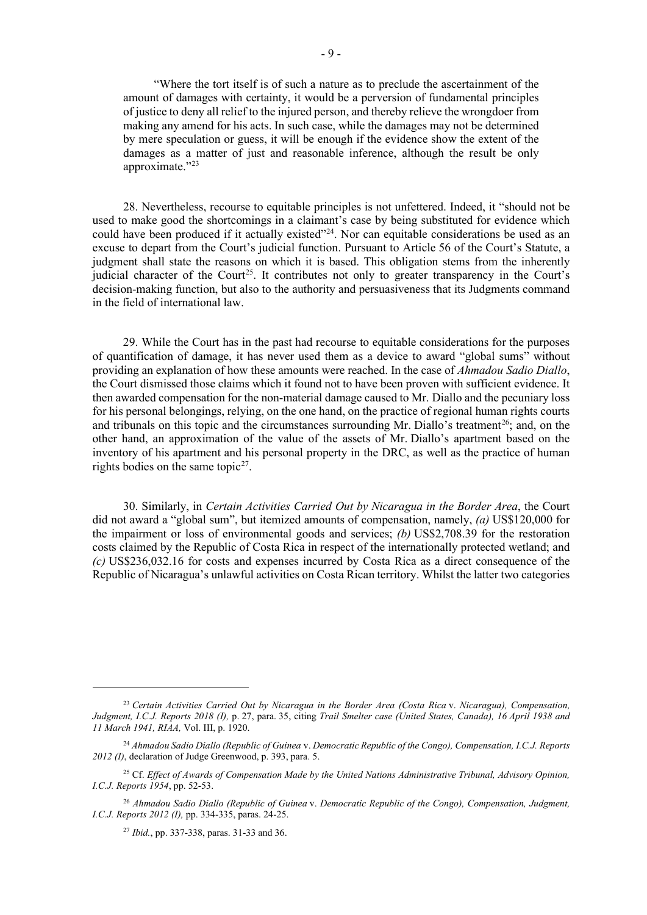"Where the tort itself is of such a nature as to preclude the ascertainment of the amount of damages with certainty, it would be a perversion of fundamental principles of justice to deny all relief to the injured person, and thereby relieve the wrongdoer from making any amend for his acts. In such case, while the damages may not be determined by mere speculation or guess, it will be enough if the evidence show the extent of the damages as a matter of just and reasonable inference, although the result be only approximate."[23](#page-8-0)

28. Nevertheless, recourse to equitable principles is not unfettered. Indeed, it "should not be used to make good the shortcomings in a claimant's case by being substituted for evidence which could have been produced if it actually existed"<sup>24</sup>. Nor can equitable considerations be used as an excuse to depart from the Court's judicial function. Pursuant to Article 56 of the Court's Statute, a judgment shall state the reasons on which it is based. This obligation stems from the inherently judicial character of the Court<sup>[25](#page-8-2)</sup>. It contributes not only to greater transparency in the Court's decision-making function, but also to the authority and persuasiveness that its Judgments command in the field of international law.

29. While the Court has in the past had recourse to equitable considerations for the purposes of quantification of damage, it has never used them as a device to award "global sums" without providing an explanation of how these amounts were reached. In the case of *Ahmadou Sadio Diallo*, the Court dismissed those claims which it found not to have been proven with sufficient evidence. It then awarded compensation for the non-material damage caused to Mr. Diallo and the pecuniary loss for his personal belongings, relying, on the one hand, on the practice of regional human rights courts and tribunals on this topic and the circumstances surrounding Mr. Diallo's treatment<sup>26</sup>; and, on the other hand, an approximation of the value of the assets of Mr. Diallo's apartment based on the inventory of his apartment and his personal property in the DRC, as well as the practice of human rights bodies on the same topic<sup>[27](#page-8-4)</sup>.

30. Similarly, in *Certain Activities Carried Out by Nicaragua in the Border Area*, the Court did not award a "global sum", but itemized amounts of compensation, namely, *(a)* US\$120,000 for the impairment or loss of environmental goods and services; *(b)* US\$2,708.39 for the restoration costs claimed by the Republic of Costa Rica in respect of the internationally protected wetland; and *(c)* US\$236,032.16 for costs and expenses incurred by Costa Rica as a direct consequence of the Republic of Nicaragua's unlawful activities on Costa Rican territory. Whilst the latter two categories

<span id="page-8-0"></span><sup>23</sup> *Certain Activities Carried Out by Nicaragua in the Border Area (Costa Rica* v. *Nicaragua), Compensation, Judgment, I.C.J. Reports 2018 (I),* p. 27, para. 35, citing *Trail Smelter case (United States, Canada), 16 April 1938 and 11 March 1941, RIAA,* Vol. III, p. 1920.

<span id="page-8-1"></span><sup>24</sup> *Ahmadou Sadio Diallo (Republic of Guinea* v. *Democratic Republic of the Congo), Compensation, I.C.J. Reports 2012 (I)*, declaration of Judge Greenwood, p. 393, para. 5.

<span id="page-8-2"></span><sup>25</sup> Cf. *Effect of Awards of Compensation Made by the United Nations Administrative Tribunal, Advisory Opinion, I.C.J. Reports 1954*, pp. 52-53.

<span id="page-8-4"></span><span id="page-8-3"></span><sup>26</sup> *Ahmadou Sadio Diallo (Republic of Guinea* v. *Democratic Republic of the Congo), Compensation, Judgment, I.C.J. Reports 2012 (I),* pp. 334-335, paras. 24-25.

<sup>27</sup> *Ibid.*, pp. 337-338, paras. 31-33 and 36.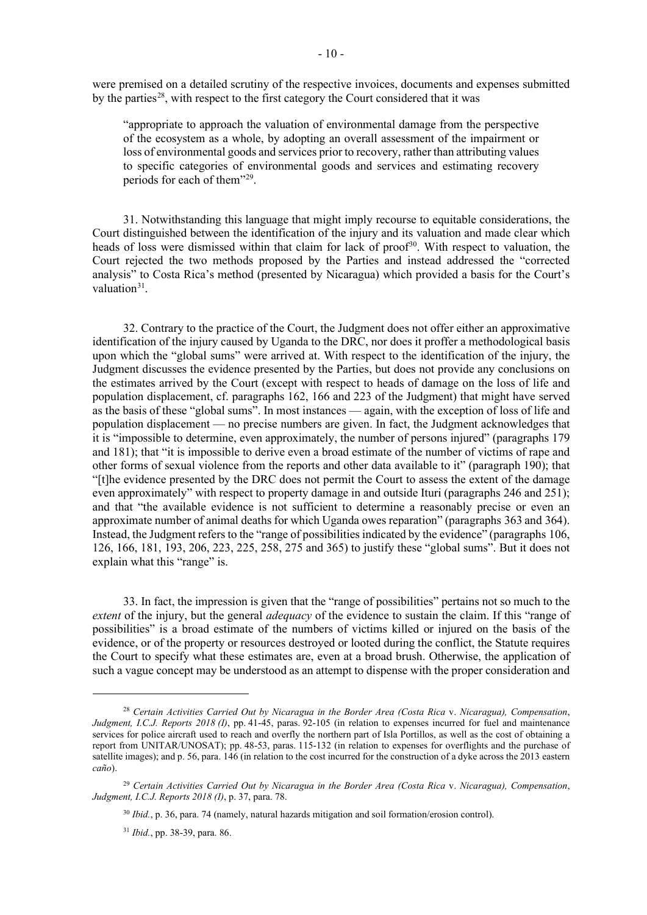were premised on a detailed scrutiny of the respective invoices, documents and expenses submitted by the parties<sup>28</sup>, with respect to the first category the Court considered that it was

"appropriate to approach the valuation of environmental damage from the perspective of the ecosystem as a whole, by adopting an overall assessment of the impairment or loss of environmental goods and services prior to recovery, rather than attributing values to specific categories of environmental goods and services and estimating recovery periods for each of them"[29](#page-9-1).

31. Notwithstanding this language that might imply recourse to equitable considerations, the Court distinguished between the identification of the injury and its valuation and made clear which heads of loss were dismissed within that claim for lack of proof<sup>30</sup>. With respect to valuation, the Court rejected the two methods proposed by the Parties and instead addressed the "corrected analysis" to Costa Rica's method (presented by Nicaragua) which provided a basis for the Court's valuation $31$ .

32. Contrary to the practice of the Court, the Judgment does not offer either an approximative identification of the injury caused by Uganda to the DRC, nor does it proffer a methodological basis upon which the "global sums" were arrived at. With respect to the identification of the injury, the Judgment discusses the evidence presented by the Parties, but does not provide any conclusions on the estimates arrived by the Court (except with respect to heads of damage on the loss of life and population displacement, cf. paragraphs 162, 166 and 223 of the Judgment) that might have served as the basis of these "global sums". In most instances — again, with the exception of loss of life and population displacement — no precise numbers are given. In fact, the Judgment acknowledges that it is "impossible to determine, even approximately, the number of persons injured" (paragraphs 179 and 181); that "it is impossible to derive even a broad estimate of the number of victims of rape and other forms of sexual violence from the reports and other data available to it" (paragraph 190); that "[t]he evidence presented by the DRC does not permit the Court to assess the extent of the damage even approximately" with respect to property damage in and outside Ituri (paragraphs 246 and 251); and that "the available evidence is not sufficient to determine a reasonably precise or even an approximate number of animal deaths for which Uganda owes reparation" (paragraphs 363 and 364). Instead, the Judgment refers to the "range of possibilities indicated by the evidence" (paragraphs 106, 126, 166, 181, 193, 206, 223, 225, 258, 275 and 365) to justify these "global sums". But it does not explain what this "range" is.

33. In fact, the impression is given that the "range of possibilities" pertains not so much to the *extent* of the injury, but the general *adequacy* of the evidence to sustain the claim. If this "range of possibilities" is a broad estimate of the numbers of victims killed or injured on the basis of the evidence, or of the property or resources destroyed or looted during the conflict, the Statute requires the Court to specify what these estimates are, even at a broad brush. Otherwise, the application of such a vague concept may be understood as an attempt to dispense with the proper consideration and

<span id="page-9-0"></span><sup>28</sup> *Certain Activities Carried Out by Nicaragua in the Border Area (Costa Rica* v. *Nicaragua), Compensation*, *Judgment, I.C.J. Reports 2018 (I)*, pp. 41-45, paras. 92-105 (in relation to expenses incurred for fuel and maintenance services for police aircraft used to reach and overfly the northern part of Isla Portillos, as well as the cost of obtaining a report from UNITAR/UNOSAT); pp. 48-53, paras. 115-132 (in relation to expenses for overflights and the purchase of satellite images); and p. 56, para. 146 (in relation to the cost incurred for the construction of a dyke across the 2013 eastern *caño*).

<span id="page-9-3"></span><span id="page-9-2"></span><span id="page-9-1"></span><sup>29</sup> *Certain Activities Carried Out by Nicaragua in the Border Area (Costa Rica* v. *Nicaragua), Compensation*, *Judgment, I.C.J. Reports 2018 (I)*, p. 37, para. 78.

<sup>30</sup> *Ibid.*, p. 36, para. 74 (namely, natural hazards mitigation and soil formation/erosion control).

<sup>31</sup> *Ibid.*, pp. 38-39, para. 86.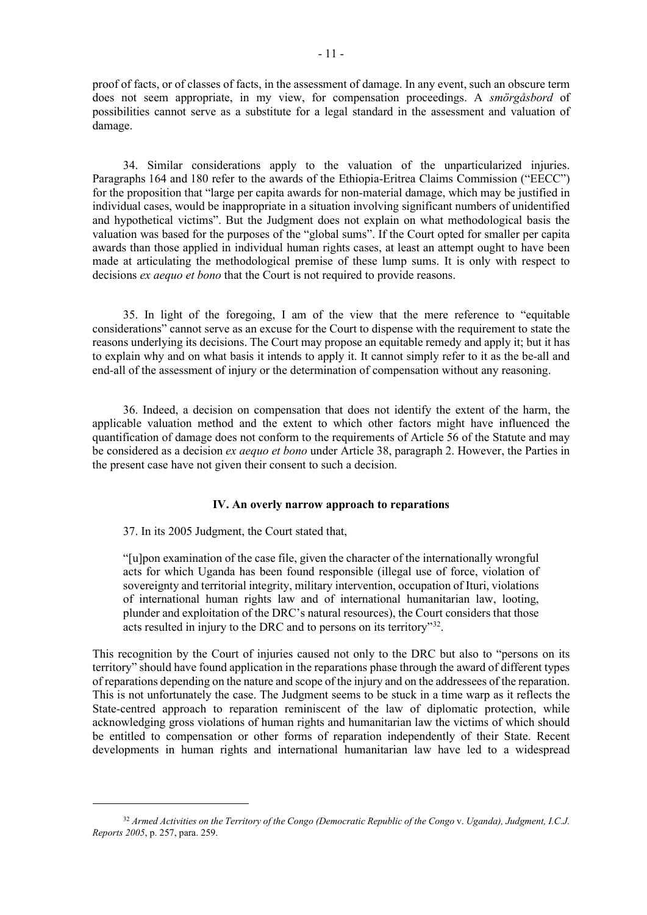proof of facts, or of classes of facts, in the assessment of damage. In any event, such an obscure term does not seem appropriate, in my view, for compensation proceedings. A *smörgåsbord* of possibilities cannot serve as a substitute for a legal standard in the assessment and valuation of damage.

34. Similar considerations apply to the valuation of the unparticularized injuries. Paragraphs 164 and 180 refer to the awards of the Ethiopia-Eritrea Claims Commission ("EECC") for the proposition that "large per capita awards for non-material damage, which may be justified in individual cases, would be inappropriate in a situation involving significant numbers of unidentified and hypothetical victims". But the Judgment does not explain on what methodological basis the valuation was based for the purposes of the "global sums". If the Court opted for smaller per capita awards than those applied in individual human rights cases, at least an attempt ought to have been made at articulating the methodological premise of these lump sums. It is only with respect to decisions *ex aequo et bono* that the Court is not required to provide reasons.

35. In light of the foregoing, I am of the view that the mere reference to "equitable considerations" cannot serve as an excuse for the Court to dispense with the requirement to state the reasons underlying its decisions. The Court may propose an equitable remedy and apply it; but it has to explain why and on what basis it intends to apply it. It cannot simply refer to it as the be-all and end-all of the assessment of injury or the determination of compensation without any reasoning.

36. Indeed, a decision on compensation that does not identify the extent of the harm, the applicable valuation method and the extent to which other factors might have influenced the quantification of damage does not conform to the requirements of Article 56 of the Statute and may be considered as a decision *ex aequo et bono* under Article 38, paragraph 2. However, the Parties in the present case have not given their consent to such a decision.

# **IV. An overly narrow approach to reparations**

37. In its 2005 Judgment, the Court stated that,

"[u]pon examination of the case file, given the character of the internationally wrongful acts for which Uganda has been found responsible (illegal use of force, violation of sovereignty and territorial integrity, military intervention, occupation of Ituri, violations of international human rights law and of international humanitarian law, looting, plunder and exploitation of the DRC's natural resources), the Court considers that those acts resulted in injury to the DRC and to persons on its territory<sup>32</sup>.

This recognition by the Court of injuries caused not only to the DRC but also to "persons on its territory" should have found application in the reparations phase through the award of different types of reparations depending on the nature and scope of the injury and on the addressees of the reparation. This is not unfortunately the case. The Judgment seems to be stuck in a time warp as it reflects the State-centred approach to reparation reminiscent of the law of diplomatic protection, while acknowledging gross violations of human rights and humanitarian law the victims of which should be entitled to compensation or other forms of reparation independently of their State. Recent developments in human rights and international humanitarian law have led to a widespread

<span id="page-10-0"></span><sup>32</sup> *Armed Activities on the Territory of the Congo (Democratic Republic of the Congo* v. *Uganda), Judgment, I.C.J. Reports 2005*, p. 257, para. 259.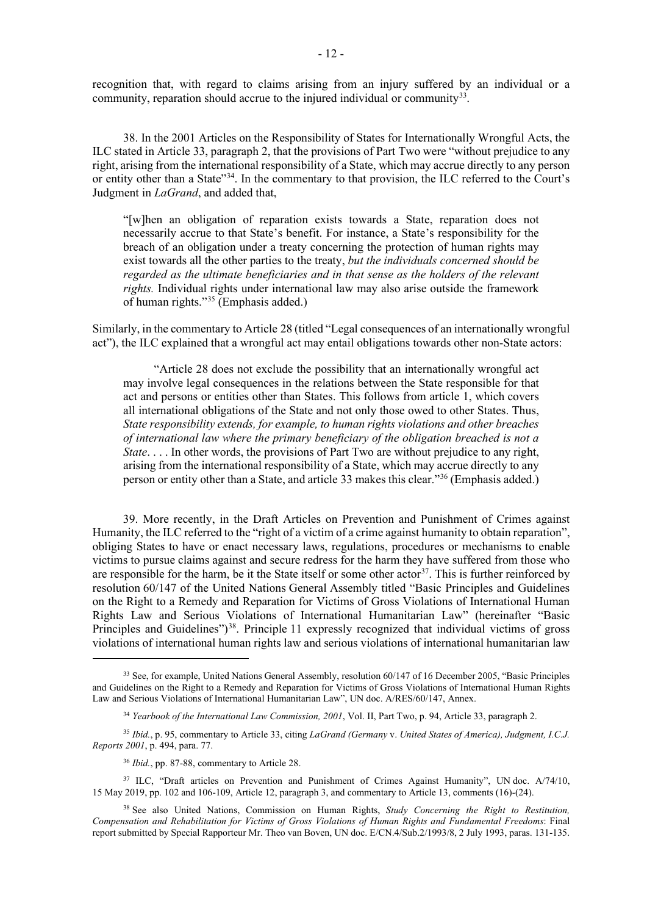recognition that, with regard to claims arising from an injury suffered by an individual or a community, reparation should accrue to the injured individual or community<sup>33</sup>.

38. In the 2001 Articles on the Responsibility of States for Internationally Wrongful Acts, the ILC stated in Article 33, paragraph 2, that the provisions of Part Two were "without prejudice to any right, arising from the international responsibility of a State, which may accrue directly to any person or entity other than a State"[34.](#page-11-1) In the commentary to that provision, the ILC referred to the Court's Judgment in *LaGrand*, and added that,

"[w]hen an obligation of reparation exists towards a State, reparation does not necessarily accrue to that State's benefit. For instance, a State's responsibility for the breach of an obligation under a treaty concerning the protection of human rights may exist towards all the other parties to the treaty, *but the individuals concerned should be regarded as the ultimate beneficiaries and in that sense as the holders of the relevant rights.* Individual rights under international law may also arise outside the framework of human rights."[35](#page-11-2) (Emphasis added.)

Similarly, in the commentary to Article 28 (titled "Legal consequences of an internationally wrongful act"), the ILC explained that a wrongful act may entail obligations towards other non-State actors:

"Article 28 does not exclude the possibility that an internationally wrongful act may involve legal consequences in the relations between the State responsible for that act and persons or entities other than States. This follows from article 1, which covers all international obligations of the State and not only those owed to other States. Thus, *State responsibility extends, for example, to human rights violations and other breaches of international law where the primary beneficiary of the obligation breached is not a State.* . . . In other words, the provisions of Part Two are without prejudice to any right, arising from the international responsibility of a State, which may accrue directly to any person or entity other than a State, and article 33 makes this clear."[36](#page-11-3) (Emphasis added.)

39. More recently, in the Draft Articles on Prevention and Punishment of Crimes against Humanity, the ILC referred to the "right of a victim of a crime against humanity to obtain reparation", obliging States to have or enact necessary laws, regulations, procedures or mechanisms to enable victims to pursue claims against and secure redress for the harm they have suffered from those who are responsible for the harm, be it the State itself or some other actor<sup>37</sup>. This is further reinforced by resolution 60/147 of the United Nations General Assembly titled "Basic Principles and Guidelines on the Right to a Remedy and Reparation for Victims of Gross Violations of International Human Rights Law and Serious Violations of International Humanitarian Law" (hereinafter "Basic Principles and Guidelines")<sup>[38](#page-11-5)</sup>. Principle 11 expressly recognized that individual victims of gross violations of international human rights law and serious violations of international humanitarian law

<span id="page-11-0"></span><sup>&</sup>lt;sup>33</sup> See, for example, United Nations General Assembly, resolution 60/147 of 16 December 2005, "Basic Principles and Guidelines on the Right to a Remedy and Reparation for Victims of Gross Violations of International Human Rights Law and Serious Violations of International Humanitarian Law", UN doc. A/RES/60/147, Annex.

<sup>34</sup> *Yearbook of the International Law Commission, 2001*, Vol. II, Part Two, p. 94, Article 33, paragraph 2.

<span id="page-11-2"></span><span id="page-11-1"></span><sup>35</sup> *Ibid.*, p. 95, commentary to Article 33, citing *LaGrand (Germany* v. *United States of America), Judgment, I.C.J. Reports 2001*, p. 494, para. 77.

<sup>36</sup> *Ibid.*, pp. 87-88, commentary to Article 28.

<span id="page-11-4"></span><span id="page-11-3"></span><sup>&</sup>lt;sup>37</sup> ILC, "Draft articles on Prevention and Punishment of Crimes Against Humanity", UN doc. A/74/10, 15 May 2019, pp. 102 and 106-109, Article 12, paragraph 3, and commentary to Article 13, comments (16)-(24).

<span id="page-11-5"></span><sup>38</sup> See also United Nations, Commission on Human Rights, *Study Concerning the Right to Restitution, Compensation and Rehabilitation for Victims of Gross Violations of Human Rights and Fundamental Freedoms*: Final report submitted by Special Rapporteur Mr. Theo van Boven, UN doc. E/CN.4/Sub.2/1993/8, 2 July 1993, paras. 131-135.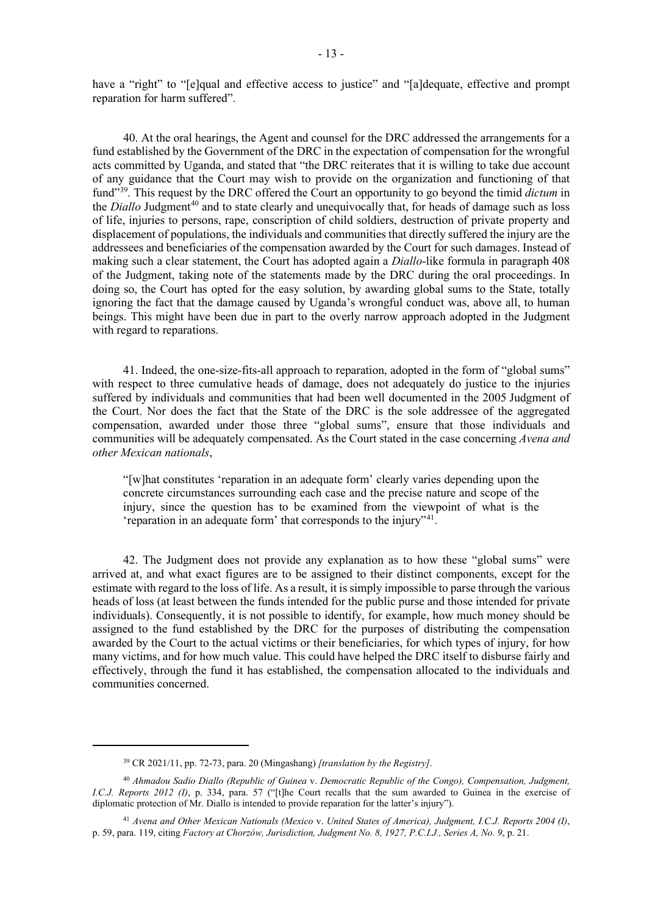have a "right" to "[e]qual and effective access to justice" and "[a]dequate, effective and prompt reparation for harm suffered".

40. At the oral hearings, the Agent and counsel for the DRC addressed the arrangements for a fund established by the Government of the DRC in the expectation of compensation for the wrongful acts committed by Uganda, and stated that "the DRC reiterates that it is willing to take due account of any guidance that the Court may wish to provide on the organization and functioning of that fund"[39.](#page-12-0) This request by the DRC offered the Court an opportunity to go beyond the timid *dictum* in the *Diallo* Judgment<sup>[40](#page-12-1)</sup> and to state clearly and unequivocally that, for heads of damage such as loss of life, injuries to persons, rape, conscription of child soldiers, destruction of private property and displacement of populations, the individuals and communities that directly suffered the injury are the addressees and beneficiaries of the compensation awarded by the Court for such damages. Instead of making such a clear statement, the Court has adopted again a *Diallo*-like formula in paragraph 408 of the Judgment, taking note of the statements made by the DRC during the oral proceedings. In doing so, the Court has opted for the easy solution, by awarding global sums to the State, totally ignoring the fact that the damage caused by Uganda's wrongful conduct was, above all, to human beings. This might have been due in part to the overly narrow approach adopted in the Judgment with regard to reparations.

41. Indeed, the one-size-fits-all approach to reparation, adopted in the form of "global sums" with respect to three cumulative heads of damage, does not adequately do justice to the injuries suffered by individuals and communities that had been well documented in the 2005 Judgment of the Court. Nor does the fact that the State of the DRC is the sole addressee of the aggregated compensation, awarded under those three "global sums", ensure that those individuals and communities will be adequately compensated. As the Court stated in the case concerning *Avena and other Mexican nationals*,

"[w]hat constitutes 'reparation in an adequate form' clearly varies depending upon the concrete circumstances surrounding each case and the precise nature and scope of the injury, since the question has to be examined from the viewpoint of what is the 'reparation in an adequate form' that corresponds to the injury"[41.](#page-12-2)

42. The Judgment does not provide any explanation as to how these "global sums" were arrived at, and what exact figures are to be assigned to their distinct components, except for the estimate with regard to the loss of life. As a result, it is simply impossible to parse through the various heads of loss (at least between the funds intended for the public purse and those intended for private individuals). Consequently, it is not possible to identify, for example, how much money should be assigned to the fund established by the DRC for the purposes of distributing the compensation awarded by the Court to the actual victims or their beneficiaries, for which types of injury, for how many victims, and for how much value. This could have helped the DRC itself to disburse fairly and effectively, through the fund it has established, the compensation allocated to the individuals and communities concerned.

<sup>39</sup> CR 2021/11, pp. 72-73, para. 20 (Mingashang) *[translation by the Registry]*.

<span id="page-12-1"></span><span id="page-12-0"></span><sup>40</sup> *Ahmadou Sadio Diallo (Republic of Guinea* v. *Democratic Republic of the Congo), Compensation, Judgment, I.C.J. Reports 2012 (I)*, p. 334, para. 57 ("[t]he Court recalls that the sum awarded to Guinea in the exercise of diplomatic protection of Mr. Diallo is intended to provide reparation for the latter's injury").

<span id="page-12-2"></span><sup>41</sup> *Avena and Other Mexican Nationals (Mexico* v. *United States of America), Judgment, I.C.J. Reports 2004 (I)*, p. 59, para. 119, citing *Factory at Chorzów, Jurisdiction, Judgment No. 8, 1927, P.C.I.J., Series A, No. 9*, p. 21.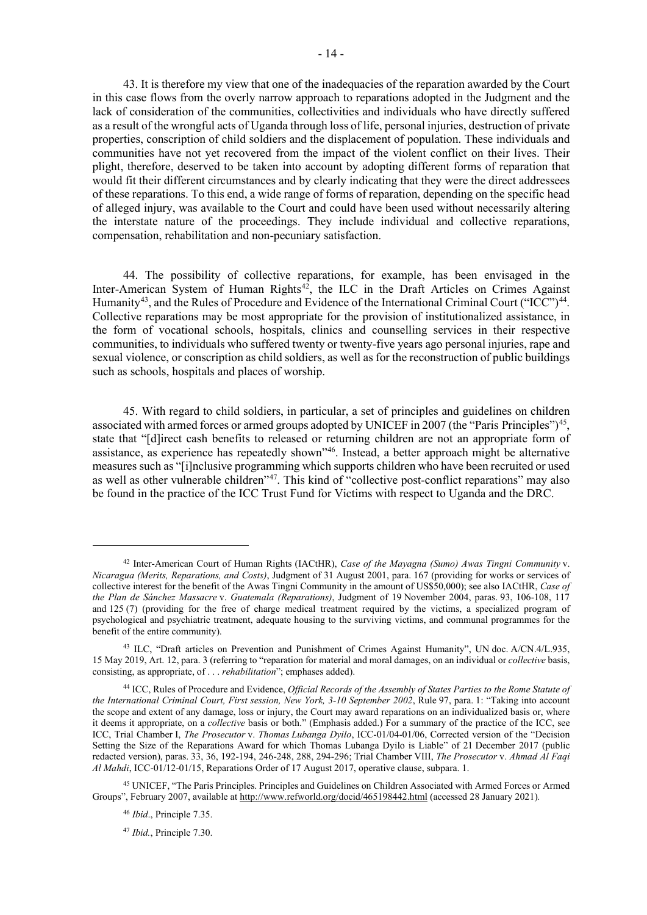43. It is therefore my view that one of the inadequacies of the reparation awarded by the Court in this case flows from the overly narrow approach to reparations adopted in the Judgment and the lack of consideration of the communities, collectivities and individuals who have directly suffered as a result of the wrongful acts of Uganda through loss of life, personal injuries, destruction of private properties, conscription of child soldiers and the displacement of population. These individuals and communities have not yet recovered from the impact of the violent conflict on their lives. Their plight, therefore, deserved to be taken into account by adopting different forms of reparation that would fit their different circumstances and by clearly indicating that they were the direct addressees of these reparations. To this end, a wide range of forms of reparation, depending on the specific head of alleged injury, was available to the Court and could have been used without necessarily altering the interstate nature of the proceedings. They include individual and collective reparations, compensation, rehabilitation and non-pecuniary satisfaction.

44. The possibility of collective reparations, for example, has been envisaged in the Inter-American System of Human Rights<sup>42</sup>, the ILC in the Draft Articles on Crimes Against Humanity<sup>43</sup>, and the Rules of Procedure and Evidence of the International Criminal Court ("ICC")<sup>44</sup>. Collective reparations may be most appropriate for the provision of institutionalized assistance, in the form of vocational schools, hospitals, clinics and counselling services in their respective communities, to individuals who suffered twenty or twenty-five years ago personal injuries, rape and sexual violence, or conscription as child soldiers, as well as for the reconstruction of public buildings such as schools, hospitals and places of worship.

45. With regard to child soldiers, in particular, a set of principles and guidelines on children associated with armed forces or armed groups adopted by UNICEF in 2007 (the "Paris Principles")<sup>45</sup>, state that "[d]irect cash benefits to released or returning children are not an appropriate form of assistance, as experience has repeatedly shown"[46.](#page-13-4) Instead, a better approach might be alternative measures such as "[i]nclusive programming which supports children who have been recruited or used as well as other vulnerable children"<sup>[47](#page-13-5)</sup>. This kind of "collective post-conflict reparations" may also be found in the practice of the ICC Trust Fund for Victims with respect to Uganda and the DRC.

<span id="page-13-0"></span><sup>42</sup> Inter-American Court of Human Rights (IACtHR), *Case of the Mayagna (Sumo) Awas Tingni Community* v. *Nicaragua (Merits, Reparations, and Costs)*, Judgment of 31 August 2001, para. 167 (providing for works or services of collective interest for the benefit of the Awas Tingni Community in the amount of US\$50,000); see also IACtHR, *Case of the Plan de Sánchez Massacre* v. *Guatemala (Reparations)*, Judgment of 19 November 2004, paras. 93, 106-108, 117 and 125 (7) (providing for the free of charge medical treatment required by the victims, a specialized program of psychological and psychiatric treatment, adequate housing to the surviving victims, and communal programmes for the benefit of the entire community).

<span id="page-13-1"></span><sup>43</sup> ILC, "Draft articles on Prevention and Punishment of Crimes Against Humanity", UN doc. A/CN.4/L.935, 15 May 2019, Art. 12, para. 3 (referring to "reparation for material and moral damages, on an individual or *collective* basis, consisting, as appropriate, of . . . *rehabilitation*"; emphases added).

<span id="page-13-2"></span><sup>44</sup> ICC, Rules of Procedure and Evidence, *Official Records of the Assembly of States Parties to the Rome Statute of the International Criminal Court, First session, New York, 3-10 September 2002*, Rule 97, para. 1: "Taking into account the scope and extent of any damage, loss or injury, the Court may award reparations on an individualized basis or, where it deems it appropriate, on a *collective* basis or both." (Emphasis added.) For a summary of the practice of the ICC, see ICC, Trial Chamber I, *The Prosecutor* v. *Thomas Lubanga Dyilo*, ICC-01/04-01/06, Corrected version of the "Decision Setting the Size of the Reparations Award for which Thomas Lubanga Dyilo is Liable" of 21 December 2017 (public redacted version), paras. 33, 36, 192-194, 246-248, 288, 294-296; Trial Chamber VIII, *The Prosecutor* v. *Ahmad Al Faqi Al Mahdi*, ICC-01/12-01/15, Reparations Order of 17 August 2017, operative clause, subpara. 1.

<span id="page-13-5"></span><span id="page-13-4"></span><span id="page-13-3"></span><sup>45</sup> UNICEF, "The Paris Principles. Principles and Guidelines on Children Associated with Armed Forces or Armed Groups", February 2007, available at http://www.refworld.org/docid/465198442.html (accessed 28 January 2021)*.*

<sup>46</sup> *Ibid*., Principle 7.35.

<sup>47</sup> *Ibid.*, Principle 7.30.